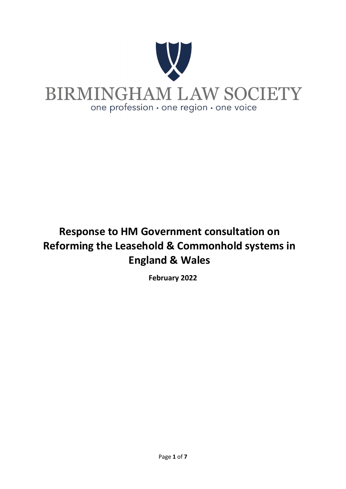

# **Response to HM Government consultation on Reforming the Leasehold & Commonhold systems in England & Wales**

**February 2022**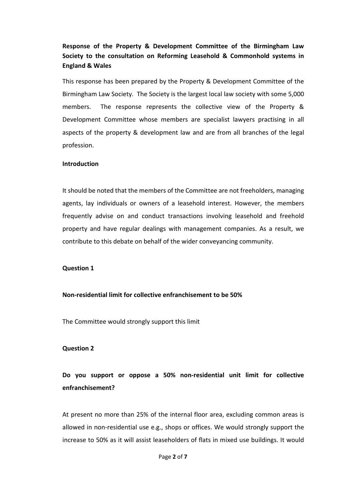# **Response of the Property & Development Committee of the Birmingham Law Society to the consultation on Reforming Leasehold & Commonhold systems in England & Wales**

This response has been prepared by the Property & Development Committee of the Birmingham Law Society. The Society is the largest local law society with some 5,000 members. The response represents the collective view of the Property & Development Committee whose members are specialist lawyers practising in all aspects of the property & development law and are from all branches of the legal profession.

#### **Introduction**

It should be noted that the members of the Committee are not freeholders, managing agents, lay individuals or owners of a leasehold interest. However, the members frequently advise on and conduct transactions involving leasehold and freehold property and have regular dealings with management companies. As a result, we contribute to this debate on behalf of the wider conveyancing community.

#### **Question 1**

#### **Non-residential limit for collective enfranchisement to be 50%**

The Committee would strongly support this limit

#### **Question 2**

**Do you support or oppose a 50% non-residential unit limit for collective enfranchisement?**

At present no more than 25% of the internal floor area, excluding common areas is allowed in non-residential use e.g., shops or offices. We would strongly support the increase to 50% as it will assist leaseholders of flats in mixed use buildings. It would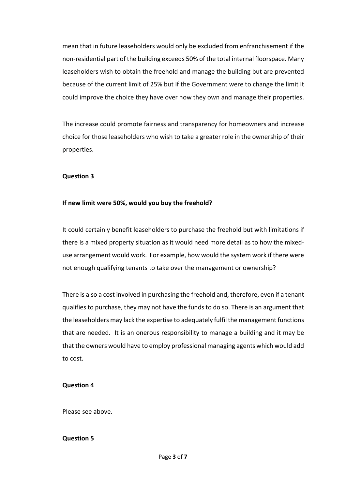mean that in future leaseholders would only be excluded from enfranchisement if the non-residential part of the building exceeds 50% of the total internal floorspace. Many leaseholders wish to obtain the freehold and manage the building but are prevented because of the current limit of 25% but if the Government were to change the limit it could improve the choice they have over how they own and manage their properties.

The increase could promote fairness and transparency for homeowners and increase choice for those leaseholders who wish to take a greater role in the ownership of their properties.

# **Question 3**

# **If new limit were 50%, would you buy the freehold?**

It could certainly benefit leaseholders to purchase the freehold but with limitations if there is a mixed property situation as it would need more detail as to how the mixeduse arrangement would work. For example, how would the system work if there were not enough qualifying tenants to take over the management or ownership?

There is also a cost involved in purchasing the freehold and, therefore, even if a tenant qualifies to purchase, they may not have the funds to do so. There is an argument that the leaseholders may lack the expertise to adequately fulfil the management functions that are needed. It is an onerous responsibility to manage a building and it may be that the owners would have to employ professional managing agents which would add to cost.

# **Question 4**

Please see above.

# **Question 5**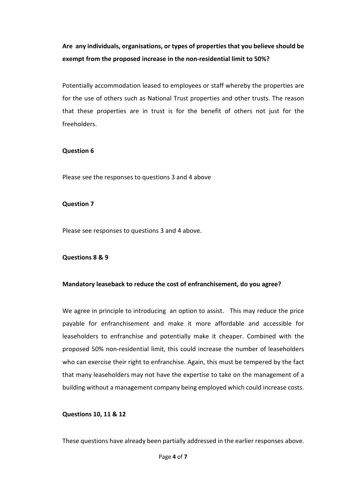**Are any individuals, organisations, or types of properties that you believe should be exempt from the proposed increase in the non-residential limit to 50%?**

Potentially accommodation leased to employees or staff whereby the properties are for the use of others such as National Trust properties and other trusts. The reason that these properties are in trust is for the benefit of others not just for the freeholders.

# **Question 6**

Please see the responses to questions 3 and 4 above

#### **Question 7**

Please see responses to questions 3 and 4 above.

#### **Questions 8 & 9**

# **Mandatory leaseback to reduce the cost of enfranchisement, do you agree?**

We agree in principle to introducing an option to assist. This may reduce the price payable for enfranchisement and make it more affordable and accessible for leaseholders to enfranchise and potentially make it cheaper. Combined with the proposed 50% non-residential limit, this could increase the number of leaseholders who can exercise their right to enfranchise. Again, this must be tempered by the fact that many leaseholders may not have the expertise to take on the management of a building without a management company being employed which could increase costs.

# **Questions 10, 11 & 12**

These questions have already been partially addressed in the earlier responses above.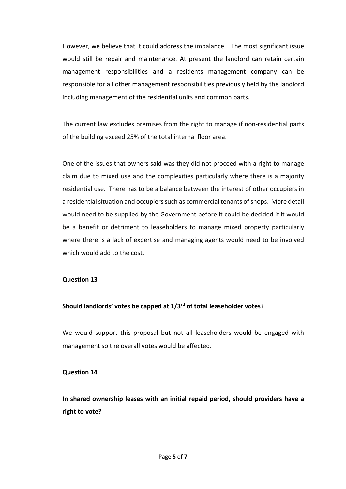However, we believe that it could address the imbalance. The most significant issue would still be repair and maintenance. At present the landlord can retain certain management responsibilities and a residents management company can be responsible for all other management responsibilities previously held by the landlord including management of the residential units and common parts.

The current law excludes premises from the right to manage if non-residential parts of the building exceed 25% of the total internal floor area.

One of the issues that owners said was they did not proceed with a right to manage claim due to mixed use and the complexities particularly where there is a majority residential use. There has to be a balance between the interest of other occupiers in a residential situation and occupiers such as commercial tenants of shops. More detail would need to be supplied by the Government before it could be decided if it would be a benefit or detriment to leaseholders to manage mixed property particularly where there is a lack of expertise and managing agents would need to be involved which would add to the cost.

# **Question 13**

#### **Should landlords' votes be capped at 1/3rd of total leaseholder votes?**

We would support this proposal but not all leaseholders would be engaged with management so the overall votes would be affected.

# **Question 14**

**In shared ownership leases with an initial repaid period, should providers have a right to vote?**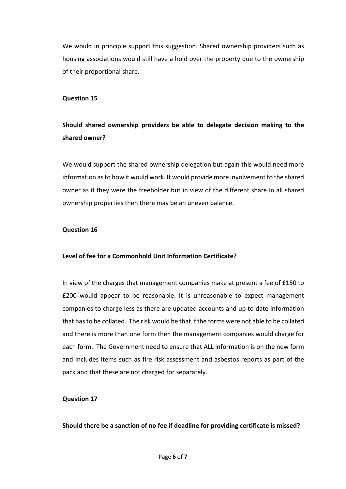We would in principle support this suggestion. Shared ownership providers such as housing associations would still have a hold over the property due to the ownership of their proportional share.

#### **Question 15**

# **Should shared ownership providers be able to delegate decision making to the shared owner?**

We would support the shared ownership delegation but again this would need more information as to how it would work. It would provide more involvement to the shared owner as if they were the freeholder but in view of the different share in all shared ownership properties then there may be an uneven balance.

#### **Question 16**

#### **Level of fee for a Commonhold Unit Information Certificate?**

In view of the charges that management companies make at present a fee of £150 to £200 would appear to be reasonable. It is unreasonable to expect management companies to charge less as there are updated accounts and up to date information that has to be collated. The risk would be that if the forms were not able to be collated and there is more than one form then the management companies would charge for each form. The Government need to ensure that ALL information is on the new form and includes items such as fire risk assessment and asbestos reports as part of the pack and that these are not charged for separately.

#### **Question 17**

#### **Should there be a sanction of no fee if deadline for providing certificate is missed?**